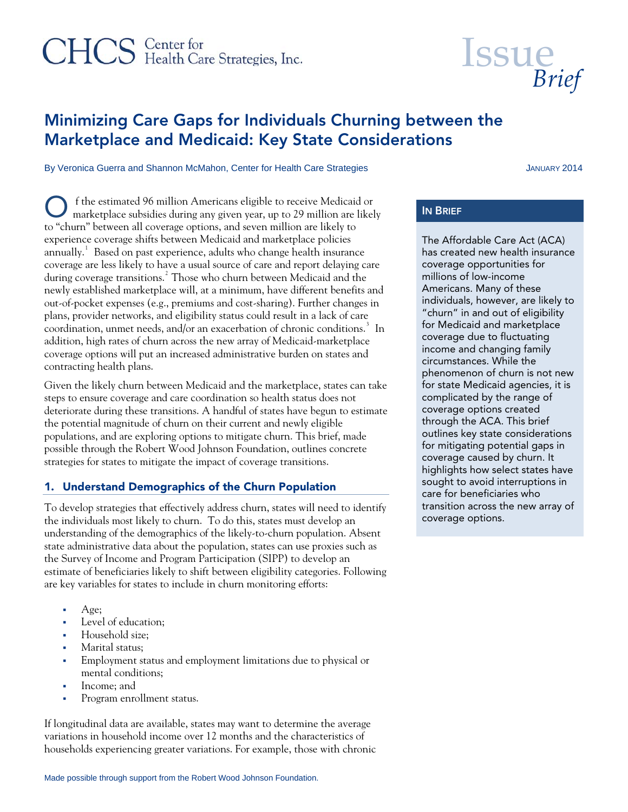# CHCS Center for<br>
Health Care Strategies, Inc.

# Minimizing Care Gaps for Individuals Churning between the Marketplace and Medicaid: Key State Considerations

By Veronica Guerra and Shannon McMahon, Center for Health Care Strategies JANUARY 2014

 f the estimated 96 million Americans eligible to receive Medicaid or O f the estimated 96 million Americans eligible to receive Medicaid or<br>
marketplace subsidies during any given year, up to 29 million are likely IN BRIEF to "churn" between all coverage options, and seven million are likely to experience coverage shifts between Medicaid and marketplace policies annually. $^1\,$  $^1\,$  $^1\,$  Based on past experience, adults who change health insurance coverage are less likely to have a usual source of care and report delaying care during coverage transitions.<sup>[2](#page-2-1)</sup> Those who churn between Medicaid and the newly established marketplace will, at a minimum, have different benefits and out-of-pocket expenses (e.g., premiums and cost-sharing). Further changes in plans, provider networks, and eligibility status could result in a lack of care coordination, unmet needs, and/or an exacerbation of chronic conditions.<sup>[3](#page-2-1)</sup> In addition, high rates of churn across the new array of Medicaid-marketplace coverage options will put an increased administrative burden on states and contracting health plans.

Given the likely churn between Medicaid and the marketplace, states can take steps to ensure coverage and care coordination so health status does not deteriorate during these transitions. A handful of states have begun to estimate the potential magnitude of churn on their current and newly eligible populations, and are exploring options to mitigate churn. This brief, made possible through the Robert Wood Johnson Foundation, outlines concrete strategies for states to mitigate the impact of coverage transitions.

# 1. Understand Demographics of the Churn Population

To develop strategies that effectively address churn, states will need to identify the individuals most likely to churn. To do this, states must develop an understanding of the demographics of the likely-to-churn population. Absent state administrative data about the population, states can use proxies such as the Survey of Income and Program Participation (SIPP) to develop an estimate of beneficiaries likely to shift between eligibility categories. Following are key variables for states to include in churn monitoring efforts:

- Age;
- **Level** of education;
- **Household size:**
- Marital status;
- Employment status and employment limitations due to physical or mental conditions;
- Income: and
- **Program enrollment status.**

If longitudinal data are available, states may want to determine the average variations in household income over 12 months and the characteristics of households experiencing greater variations. For example, those with chronic

The Affordable Care Act (ACA) has created new health insurance coverage opportunities for millions of low-income Americans. Many of these individuals, however, are likely to "churn" in and out of eligibility for Medicaid and marketplace coverage due to fluctuating income and changing family circumstances. While the phenomenon of churn is not new for state Medicaid agencies, it is complicated by the range of coverage options created through the ACA. This brief outlines key state considerations for mitigating potential gaps in coverage caused by churn. It highlights how select states have sought to avoid interruptions in care for beneficiaries who transition across the new array of coverage options.

**Issue**  *Brief*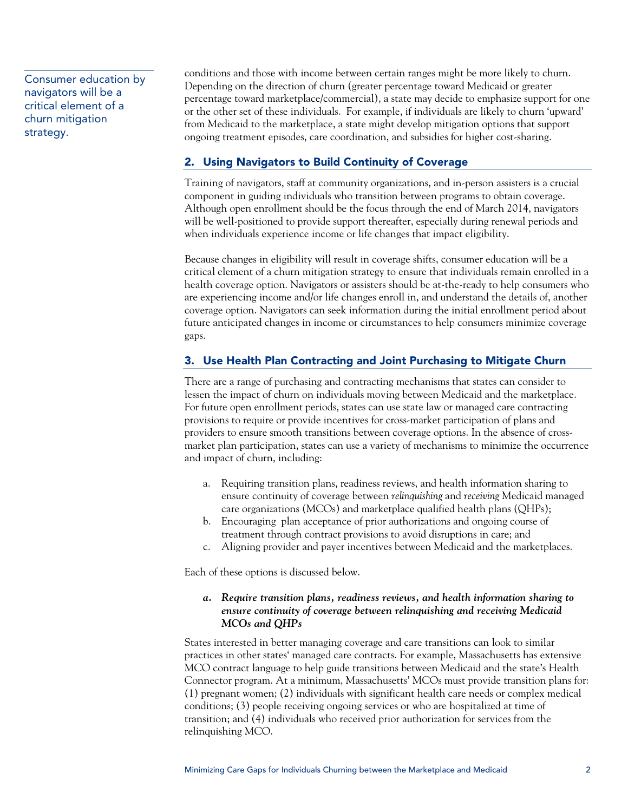Consumer education by navigators will be a critical element of a churn mitigation strategy.

conditions and those with income between certain ranges might be more likely to churn. Depending on the direction of churn (greater percentage toward Medicaid or greater percentage toward marketplace/commercial), a state may decide to emphasize support for one or the other set of these individuals. For example, if individuals are likely to churn 'upward' from Medicaid to the marketplace, a state might develop mitigation options that support ongoing treatment episodes, care coordination, and subsidies for higher cost-sharing.

# 2. Using Navigators to Build Continuity of Coverage

Training of navigators, staff at community organizations, and in-person assisters is a crucial component in guiding individuals who transition between programs to obtain coverage. Although open enrollment should be the focus through the end of March 2014, navigators will be well-positioned to provide support thereafter, especially during renewal periods and when individuals experience income or life changes that impact eligibility.

Because changes in eligibility will result in coverage shifts, consumer education will be a critical element of a churn mitigation strategy to ensure that individuals remain enrolled in a health coverage option. Navigators or assisters should be at-the-ready to help consumers who are experiencing income and/or life changes enroll in, and understand the details of, another coverage option. Navigators can seek information during the initial enrollment period about future anticipated changes in income or circumstances to help consumers minimize coverage gaps.

# 3. Use Health Plan Contracting and Joint Purchasing to Mitigate Churn

There are a range of purchasing and contracting mechanisms that states can consider to lessen the impact of churn on individuals moving between Medicaid and the marketplace. For future open enrollment periods, states can use state law or managed care contracting provisions to require or provide incentives for cross-market participation of plans and providers to ensure smooth transitions between coverage options. In the absence of crossmarket plan participation, states can use a variety of mechanisms to minimize the occurrence and impact of churn, including:

- a. Requiring transition plans, readiness reviews, and health information sharing to ensure continuity of coverage between *relinquishing* and *receiving* Medicaid managed care organizations (MCOs) and marketplace qualified health plans (QHPs);
- b. Encouraging plan acceptance of prior authorizations and ongoing course of treatment through contract provisions to avoid disruptions in care; and
- c. Aligning provider and payer incentives between Medicaid and the marketplaces.

Each of these options is discussed below.

# *a. Require transition plans, readiness reviews, and health information sharing to ensure continuity of coverage between relinquishing and receiving Medicaid MCOs and QHPs*

States interested in better managing coverage and care transitions can look to similar practices in other states' managed care contracts. For example, Massachusetts has extensive MCO contract language to help guide transitions between Medicaid and the state's Health Connector program. At a minimum, Massachusetts' MCOs must provide transition plans for: (1) pregnant women; (2) individuals with significant health care needs or complex medical conditions; (3) people receiving ongoing services or who are hospitalized at time of transition; and (4) individuals who received prior authorization for services from the relinquishing MCO.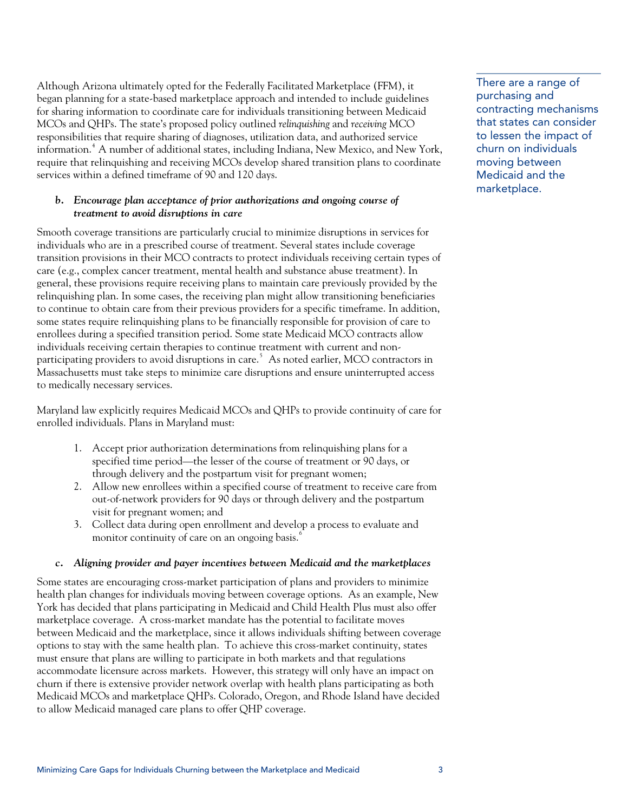<span id="page-2-2"></span> There are a range of Although Arizona ultimately opted for the Federally Facilitated Marketplace (FFM), it began planning for a state-based marketplace approach and intended to include guidelines for sharing information to coordinate care for individuals transitioning between Medicaid MCOs and QHPs. The state's proposed policy outlined *relinquishing* and *receiving* MCO responsibilities that require sharing of diagnoses, utilization data, and authorized service information.<sup>[4](#page-2-2)</sup> A number of additional states, including Indiana, New Mexico, and New York, require that relinquishing and receiving MCOs develop shared transition plans to coordinate services within a defined timeframe of 90 and 120 days.

# *b. Encourage plan acceptance of prior authorizations and ongoing course of treatment to avoid disruptions in care*

<span id="page-2-1"></span><span id="page-2-0"></span>Smooth coverage transitions are particularly crucial to minimize disruptions in services for individuals who are in a prescribed course of treatment. Several states include coverage transition provisions in their MCO contracts to protect individuals receiving certain types of care (e.g., complex cancer treatment, mental health and substance abuse treatment). In general, these provisions require receiving plans to maintain care previously provided by the relinquishing plan. In some cases, the receiving plan might allow transitioning beneficiaries to continue to obtain care from their previous providers for a specific timeframe. In addition, some states require relinquishing plans to be financially responsible for provision of care to enrollees during a specified transition period. Some state Medicaid MCO contracts allow individuals receiving certain therapies to continue treatment with current and nonparticipating providers to avoid disruptions in care. $^5\,$  $^5\,$  $^5\,$  As noted earlier, MCO contractors in Massachusetts must take steps to minimize care disruptions and ensure uninterrupted access to medically necessary services.

Maryland law explicitly requires Medicaid MCOs and QHPs to provide continuity of care for enrolled individuals. Plans in Maryland must:

- 1. Accept prior authorization determinations from relinquishing plans for a specified time period—the lesser of the course of treatment or 90 days, or through delivery and the postpartum visit for pregnant women;
- 2. Allow new enrollees within a specified course of treatment to receive care from out-of-network providers for 90 days or through delivery and the postpartum visit for pregnant women; and
- 3. Collect data during open enrollment and develop a process to evaluate and monitor continuity of care on an ongoing basis.<sup>[6](#page-2-2)</sup>

# *c. Aligning provider and payer incentives between Medicaid and the marketplaces*

Some states are encouraging cross-market participation of plans and providers to minimize health plan changes for individuals moving between coverage options. As an example, New York has decided that plans participating in Medicaid and Child Health Plus must also offer marketplace coverage. A cross-market mandate has the potential to facilitate moves between Medicaid and the marketplace, since it allows individuals shifting between coverage options to stay with the same health plan. To achieve this cross-market continuity, states must ensure that plans are willing to participate in both markets and that regulations accommodate licensure across markets. However, this strategy will only have an impact on churn if there is extensive provider network overlap with health plans participating as both Medicaid MCOs and marketplace QHPs. Colorado, Oregon, and Rhode Island have decided to allow Medicaid managed care plans to offer QHP coverage.

purchasing and contracting mechanisms that states can consider to lessen the impact of churn on individuals moving between Medicaid and the marketplace.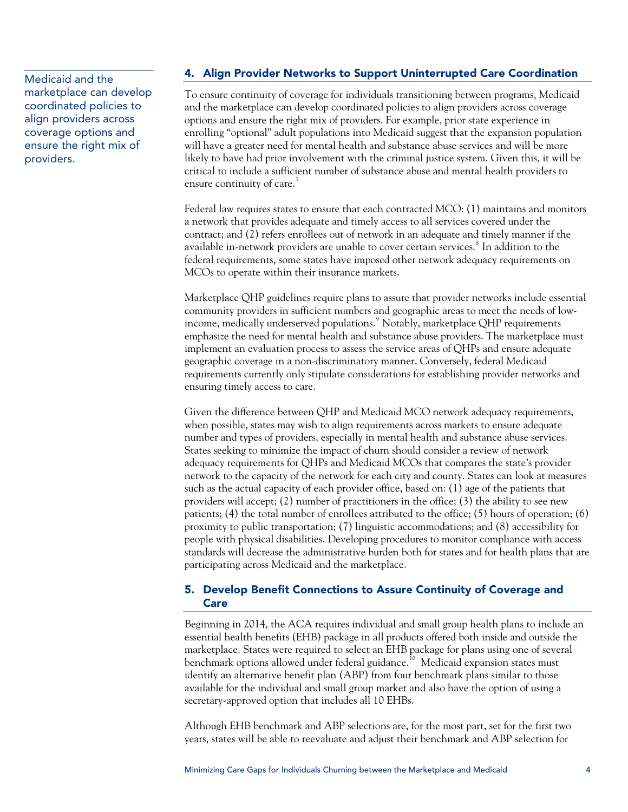marketplace can develop coordinated policies to align providers across coverage options and ensure the right mix of providers.

# Medicaid and the **4. Align Provider Networks to Support Uninterrupted Care Coordination**

To ensure continuity of coverage for individuals transitioning between programs, Medicaid and the marketplace can develop coordinated policies to align providers across coverage options and ensure the right mix of providers. For example, prior state experience in enrolling "optional" adult populations into Medicaid suggest that the expansion population will have a greater need for mental health and substance abuse services and will be more likely to have had prior involvement with the criminal justice system. Given this, it will be critical to include a sufficient number of substance abuse and mental health providers to ensure continuity of care.<sup>[7](#page-2-2)</sup>

Federal law requires states to ensure that each contracted MCO: (1) maintains and monitors a network that provides adequate and timely access to all services covered under the contract; and (2) refers enrollees out of network in an adequate and timely manner if the available in-network providers are unable to cover certain services. $^{\rm 8}$  $^{\rm 8}$  $^{\rm 8}$  In addition to the federal requirements, some states have imposed other network adequacy requirements on MCOs to operate within their insurance markets.

Marketplace QHP guidelines require plans to assure that provider networks include essential community providers in sufficient numbers and geographic areas to meet the needs of low-income, medically underserved populations.<sup>[9](#page-2-2)</sup> Notably, marketplace QHP requirements emphasize the need for mental health and substance abuse providers. The marketplace must implement an evaluation process to assess the service areas of QHPs and ensure adequate geographic coverage in a non-discriminatory manner. Conversely, federal Medicaid requirements currently only stipulate considerations for establishing provider networks and ensuring timely access to care.

Given the difference between QHP and Medicaid MCO network adequacy requirements, when possible, states may wish to align requirements across markets to ensure adequate number and types of providers, especially in mental health and substance abuse services. States seeking to minimize the impact of churn should consider a review of network adequacy requirements for QHPs and Medicaid MCOs that compares the state's provider network to the capacity of the network for each city and county. States can look at measures such as the actual capacity of each provider office, based on: (1) age of the patients that providers will accept; (2) number of practitioners in the office; (3) the ability to see new patients; (4) the total number of enrollees attributed to the office; (5) hours of operation; (6) proximity to public transportation; (7) linguistic accommodations; and (8) accessibility for people with physical disabilities. Developing procedures to monitor compliance with access standards will decrease the administrative burden both for states and for health plans that are participating across Medicaid and the marketplace.

# 5. Develop Benefit Connections to Assure Continuity of Coverage and Care

Beginning in 2014, the ACA requires individual and small group health plans to include an essential health benefits (EHB) package in all products offered both inside and outside the marketplace. States were required to select an EHB package for plans using one of several benchmark options allowed under federal guidance.<sup>[10](#page-2-2)</sup> Medicaid expansion states must identify an alternative benefit plan (ABP) from four benchmark plans similar to those available for the individual and small group market and also have the option of using a secretary-approved option that includes all 10 EHBs.

Although EHB benchmark and ABP selections are, for the most part, set for the first two years, states will be able to reevaluate and adjust their benchmark and ABP selection for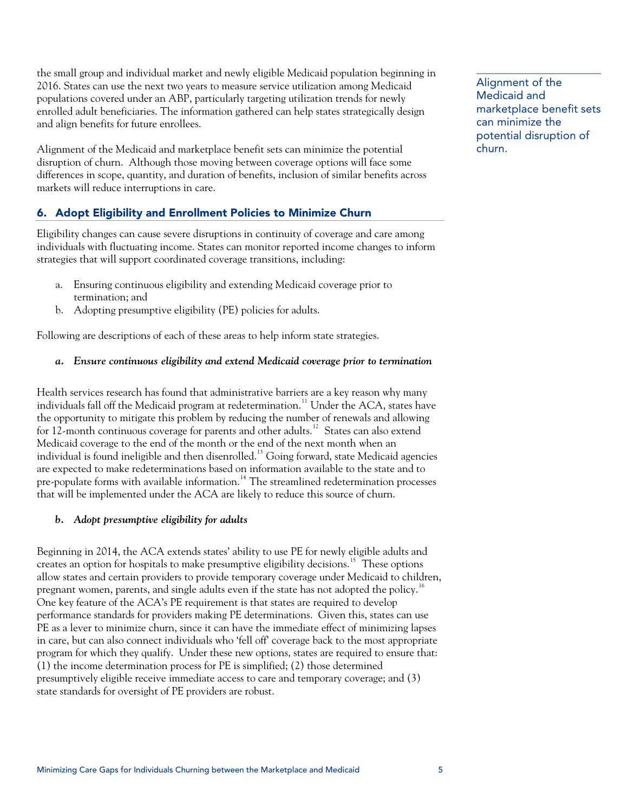the small group and individual market and newly eligible Medicaid population beginning in 2016. States can use the next two years to measure service utilization among Medicaid populations covered under an ABP, particularly targeting utilization trends for newly enrolled adult beneficiaries. The information gathered can help states strategically design and align benefits for future enrollees.

Alignment of the Medicaid and marketplace benefit sets can minimize the potential churn. disruption of churn. Although those moving between coverage options will face some differences in scope, quantity, and duration of benefits, inclusion of similar benefits across markets will reduce interruptions in care.

# 6. Adopt Eligibility and Enrollment Policies to Minimize Churn

Eligibility changes can cause severe disruptions in continuity of coverage and care among individuals with fluctuating income. States can monitor reported income changes to inform strategies that will support coordinated coverage transitions, including:

- a. Ensuring continuous eligibility and extending Medicaid coverage prior to termination; and
- b. Adopting presumptive eligibility (PE) policies for adults.

Following are descriptions of each of these areas to help inform state strategies.

# *a. Ensure continuous eligibility and extend Medicaid coverage prior to termination*

Health services research has found that administrative barriers are a key reason why many individuals fall off the Medicaid program at redetermination.<sup>[11](#page-2-2)</sup> Under the ACA, states have the opportunity to mitigate this problem by reducing the number of renewals and allowing for [12](#page-2-2)-month continuous coverage for parents and other adults.<sup>12</sup> States can also extend Medicaid coverage to the end of the month or the end of the next month when an individual is found ineligible and then disenrolled.<sup>[13](#page-2-2)</sup> Going forward, state Medicaid agencies are expected to make redeterminations based on information available to the state and to pre-populate forms with available information.<sup>[14](#page-2-2)</sup> The streamlined redetermination processes that will be implemented under the ACA are likely to reduce this source of churn.

# *b. Adopt presumptive eligibility for adults*

Beginning in 2014, the ACA extends states' ability to use PE for newly eligible adults and creates an option for hospitals to make presumptive eligibility decisions.<sup>[15](#page-2-2)</sup> These options allow states and certain providers to provide temporary coverage under Medicaid to children, pregnant women, parents, and single adults even if the state has not adopted the policy.<sup>[16](#page-2-2)</sup> One key feature of the ACA's PE requirement is that states are required to develop performance standards for providers making PE determinations. Given this, states can use PE as a lever to minimize churn, since it can have the immediate effect of minimizing lapses in care, but can also connect individuals who 'fell off' coverage back to the most appropriate program for which they qualify. Under these new options, states are required to ensure that: (1) the income determination process for PE is simplified; (2) those determined presumptively eligible receive immediate access to care and temporary coverage; and (3) state standards for oversight of PE providers are robust.

Alignment of the Medicaid and marketplace benefit sets can minimize the potential disruption of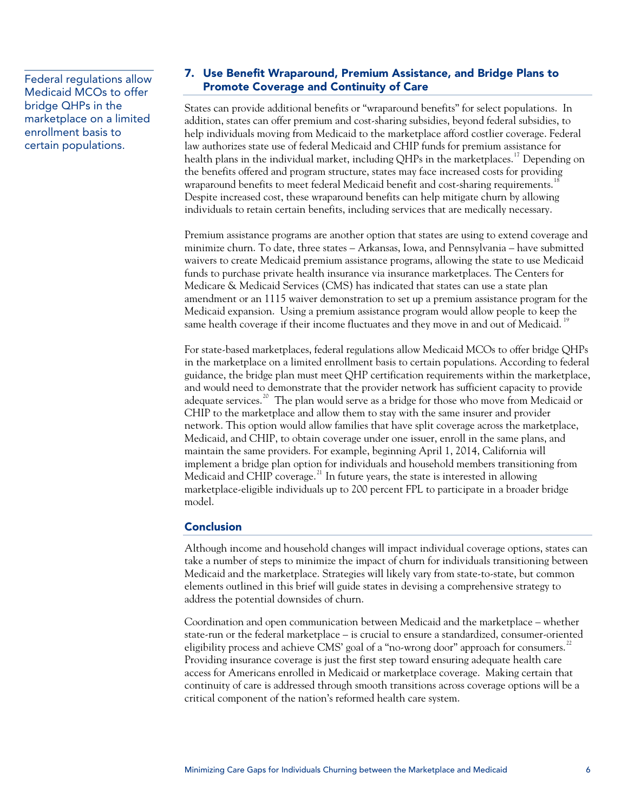Medicaid MCOs to offer bridge QHPs in the marketplace on a limited enrollment basis to certain populations.

# 7. Use Benefit Wraparound, Premium Assistance, and Bridge Plans to Federal regulations allow **The Coverage and Continuity of Care**<br>**Promote Coverage and Continuity of Care**

States can provide additional benefits or "wraparound benefits" for select populations. In addition, states can offer premium and cost-sharing subsidies, beyond federal subsidies, to help individuals moving from Medicaid to the marketplace afford costlier coverage. Federal law authorizes state use of federal Medicaid and CHIP funds for premium assistance for health plans in the individual market, including OHPs in the marketplaces.<sup>[17](#page-2-2)</sup> Depending on the benefits offered and program structure, states may face increased costs for providing wraparound benefits to meet federal Medicaid benefit and cost-sharing requirements.<sup>1</sup> Despite increased cost, these wraparound benefits can help mitigate churn by allowing individuals to retain certain benefits, including services that are medically necessary.

Premium assistance programs are another option that states are using to extend coverage and minimize churn. To date, three states – Arkansas, Iowa, and Pennsylvania – have submitted waivers to create Medicaid premium assistance programs, allowing the state to use Medicaid funds to purchase private health insurance via insurance marketplaces. The Centers for Medicare & Medicaid Services (CMS) has indicated that states can use a state plan amendment or an 1115 waiver demonstration to set up a premium assistance program for the Medicaid expansion. Using a premium assistance program would allow people to keep the same health coverage if their income fluctuates and they move in and out of Medicaid.

For state-based marketplaces, federal regulations allow Medicaid MCOs to offer bridge QHPs in the marketplace on a limited enrollment basis to certain populations. According to federal guidance, the bridge plan must meet QHP certification requirements within the marketplace, and would need to demonstrate that the provider network has sufficient capacity to provide adequate services.<sup>[20](#page-2-2)</sup> The plan would serve as a bridge for those who move from Medicaid or CHIP to the marketplace and allow them to stay with the same insurer and provider network. This option would allow families that have split coverage across the marketplace, Medicaid, and CHIP, to obtain coverage under one issuer, enroll in the same plans, and maintain the same providers. For example, beginning April 1, 2014, California will implement a bridge plan option for individuals and household members transitioning from Medicaid and CHIP coverage. $^{21}$  $^{21}$  $^{21}$  In future years, the state is interested in allowing marketplace-eligible individuals up to 200 percent FPL to participate in a broader bridge model.

#### Conclusion

Although income and household changes will impact individual coverage options, states can take a number of steps to minimize the impact of churn for individuals transitioning between Medicaid and the marketplace. Strategies will likely vary from state-to-state, but common elements outlined in this brief will guide states in devising a comprehensive strategy to address the potential downsides of churn.

Coordination and open communication between Medicaid and the marketplace – whether state-run or the federal marketplace – is crucial to ensure a standardized, consumer-oriented eligibility process and achieve CMS' goal of a "no-wrong door" approach for consumers.<sup>[22](#page-2-2)</sup> Providing insurance coverage is just the first step toward ensuring adequate health care access for Americans enrolled in Medicaid or marketplace coverage. Making certain that continuity of care is addressed through smooth transitions across coverage options will be a critical component of the nation's reformed health care system.